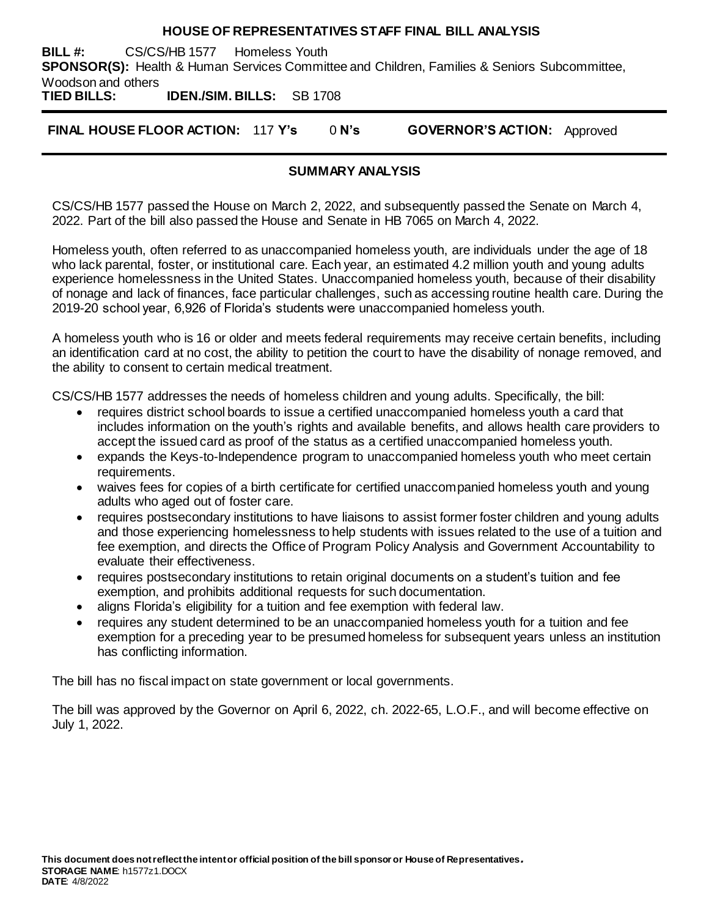#### **HOUSE OF REPRESENTATIVES STAFF FINAL BILL ANALYSIS**

**BILL #:** CS/CS/HB 1577 Homeless Youth **SPONSOR(S):** Health & Human Services Committee and Children, Families & Seniors Subcommittee, Woodson and others

**TIED BILLS: IDEN./SIM. BILLS:** SB 1708

**FINAL HOUSE FLOOR ACTION:** 117 **Y's** 0 **N's GOVERNOR'S ACTION:** Approved

# **SUMMARY ANALYSIS**

CS/CS/HB 1577 passed the House on March 2, 2022, and subsequently passed the Senate on March 4, 2022. Part of the bill also passed the House and Senate in HB 7065 on March 4, 2022.

Homeless youth, often referred to as unaccompanied homeless youth, are individuals under the age of 18 who lack parental, foster, or institutional care. Each year, an estimated 4.2 million youth and young adults experience homelessness in the United States. Unaccompanied homeless youth, because of their disability of nonage and lack of finances, face particular challenges, such as accessing routine health care. During the 2019-20 school year, 6,926 of Florida's students were unaccompanied homeless youth.

A homeless youth who is 16 or older and meets federal requirements may receive certain benefits, including an identification card at no cost, the ability to petition the court to have the disability of nonage removed, and the ability to consent to certain medical treatment.

CS/CS/HB 1577 addresses the needs of homeless children and young adults. Specifically, the bill:

- requires district school boards to issue a certified unaccompanied homeless youth a card that includes information on the youth's rights and available benefits, and allows health care providers to accept the issued card as proof of the status as a certified unaccompanied homeless youth.
- expands the Keys-to-Independence program to unaccompanied homeless youth who meet certain requirements.
- waives fees for copies of a birth certificate for certified unaccompanied homeless youth and young adults who aged out of foster care.
- requires postsecondary institutions to have liaisons to assist former foster children and young adults and those experiencing homelessness to help students with issues related to the use of a tuition and fee exemption, and directs the Office of Program Policy Analysis and Government Accountability to evaluate their effectiveness.
- requires postsecondary institutions to retain original documents on a student's tuition and fee exemption, and prohibits additional requests for such documentation.
- aligns Florida's eligibility for a tuition and fee exemption with federal law.
- requires any student determined to be an unaccompanied homeless youth for a tuition and fee exemption for a preceding year to be presumed homeless for subsequent years unless an institution has conflicting information.

The bill has no fiscal impact on state government or local governments.

The bill was approved by the Governor on April 6, 2022, ch. 2022-65, L.O.F., and will become effective on July 1, 2022.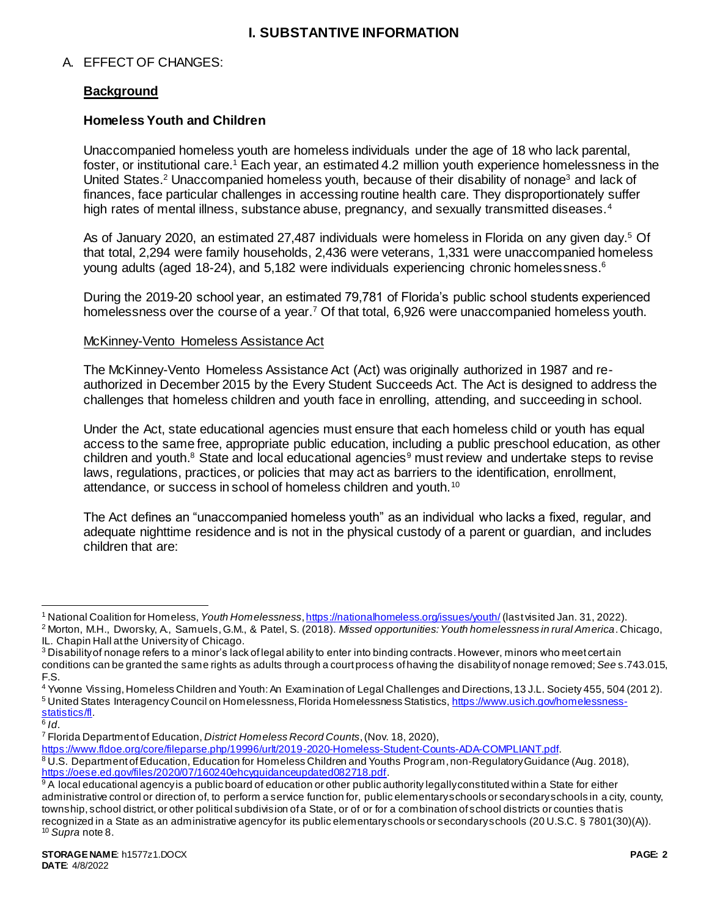# **I. SUBSTANTIVE INFORMATION**

# A. EFFECT OF CHANGES:

# **Background**

## **Homeless Youth and Children**

Unaccompanied homeless youth are homeless individuals under the age of 18 who lack parental, foster, or institutional care.<sup>1</sup> Each year, an estimated 4.2 million youth experience homelessness in the United States.<sup>2</sup> Unaccompanied homeless youth, because of their disability of nonage<sup>3</sup> and lack of finances, face particular challenges in accessing routine health care. They disproportionately suffer high rates of mental illness, substance abuse, pregnancy, and sexually transmitted diseases.<sup>4</sup>

As of January 2020, an estimated 27,487 individuals were homeless in Florida on any given day.<sup>5</sup> Of that total, 2,294 were family households, 2,436 were veterans, 1,331 were unaccompanied homeless young adults (aged 18-24), and 5,182 were individuals experiencing chronic homelessness.<sup>6</sup>

During the 2019-20 school year, an estimated 79,781 of Florida's public school students experienced homelessness over the course of a year.<sup>7</sup> Of that total, 6,926 were unaccompanied homeless youth.

#### McKinney-Vento Homeless Assistance Act

The McKinney-Vento Homeless Assistance Act (Act) was originally authorized in 1987 and reauthorized in December 2015 by the Every Student Succeeds Act. The Act is designed to address the challenges that homeless children and youth face in enrolling, attending, and succeeding in school.

Under the Act, state educational agencies must ensure that each homeless child or youth has equal access to the same free, appropriate public education, including a public preschool education, as other children and youth.<sup>8</sup> State and local educational agencies<sup>9</sup> must review and undertake steps to revise laws, regulations, practices, or policies that may act as barriers to the identification, enrollment, attendance, or success in school of homeless children and youth.<sup>10</sup>

The Act defines an "unaccompanied homeless youth" as an individual who lacks a fixed, regular, and adequate nighttime residence and is not in the physical custody of a parent or guardian, and includes children that are:

6 *Id*.

 $\overline{a}$ <sup>1</sup> National Coalition for Homeless, *Youth Homelessness*[, https://nationalhomeless.org/issues/youth/](https://nationalhomeless.org/issues/youth/) (last visited Jan. 31, 2022).

<sup>2</sup> Morton, M.H., Dworsky, A., Samuels, G.M., & Patel, S. (2018). *Missed opportunities: Youth homelessness in rural America*. Chicago, IL. Chapin Hall at the University of Chicago.

 $3$  Disability of nonage refers to a minor's lack of legal ability to enter into binding contracts. However, minors who meet certain conditions can be granted the same rights as adults through a court process of having the disabilityof nonage removed; *See* s.743.015, F.S.

<sup>4</sup> Yvonne Vissing, Homeless Children and Youth: An Examination of Legal Challenges and Directions, 13 J.L. Society 455, 504 (201 2).

<sup>5</sup> United States Interagency Council on Homelessness, Florida Homelessness Statistics[, https://www.usich.gov/homelessness](https://www.usich.gov/homelessness-statistics/fl)[statistics/fl.](https://www.usich.gov/homelessness-statistics/fl)

<sup>7</sup> Florida Department of Education, *District Homeless Record Counts*, (Nov. 18, 2020),

[https://www.fldoe.org/core/fileparse.php/19996/urlt/2019-2020-Homeless-Student-Counts-ADA-COMPLIANT.pdf.](https://www.fldoe.org/core/fileparse.php/19996/urlt/2019-2020-Homeless-Student-Counts-ADA-COMPLIANT.pdf) 8 U.S. Department of Education, Education for Homeless Children and Youths Program, non-Regulatory Guidance (Aug. 2018),

<https://oese.ed.gov/files/2020/07/160240ehcyguidanceupdated082718.pdf>. 9 A local educational agency is a public board of education or other public authority legally constituted within a State for either administrative control or direction of, to perform a service function for, public elementary schools or secondary schools in a city, county, township, school district, or other political subdivision of a State, or of or for a combination of school districts or counties that is

recognized in a State as an administrative agency for its public elementary schools or secondary schools (20 U.S.C. § 7801(30)(A)). <sup>10</sup> *Supra* note 8.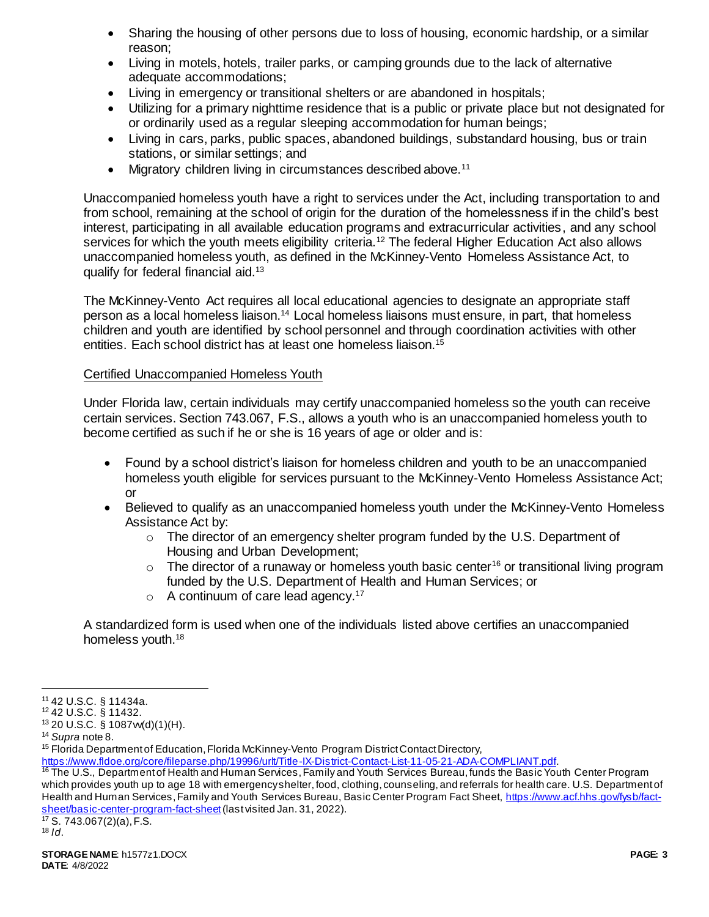- Sharing the housing of other persons due to loss of housing, economic hardship, or a similar reason;
- Living in motels, hotels, trailer parks, or camping grounds due to the lack of alternative adequate accommodations;
- Living in emergency or transitional shelters or are abandoned in hospitals;
- Utilizing for a primary nighttime residence that is a public or private place but not designated for or ordinarily used as a regular sleeping accommodation for human beings;
- Living in cars, parks, public spaces, abandoned buildings, substandard housing, bus or train stations, or similar settings; and
- Migratory children living in circumstances described above.<sup>11</sup>

Unaccompanied homeless youth have a right to services under the Act, including transportation to and from school, remaining at the school of origin for the duration of the homelessness if in the child's best interest, participating in all available education programs and extracurricular activities, and any school services for which the youth meets eligibility criteria.<sup>12</sup> The federal Higher Education Act also allows unaccompanied homeless youth, as defined in the McKinney-Vento Homeless Assistance Act, to qualify for federal financial aid.<sup>13</sup>

The McKinney-Vento Act requires all local educational agencies to designate an appropriate staff person as a local homeless liaison.<sup>14</sup> Local homeless liaisons must ensure, in part, that homeless children and youth are identified by school personnel and through coordination activities with other entities. Each school district has at least one homeless liaison.<sup>15</sup>

## Certified Unaccompanied Homeless Youth

Under Florida law, certain individuals may certify unaccompanied homeless so the youth can receive certain services. Section 743.067, F.S., allows a youth who is an unaccompanied homeless youth to become certified as such if he or she is 16 years of age or older and is:

- Found by a school district's liaison for homeless children and youth to be an unaccompanied homeless youth eligible for services pursuant to the McKinney-Vento Homeless Assistance Act; or
- Believed to qualify as an unaccompanied homeless youth under the McKinney-Vento Homeless Assistance Act by:
	- $\circ$  The director of an emergency shelter program funded by the U.S. Department of Housing and Urban Development;
	- $\circ$  The director of a runaway or homeless youth basic center<sup>16</sup> or transitional living program funded by the U.S. Department of Health and Human Services; or
	- $\circ$  A continuum of care lead agency.<sup>17</sup>

A standardized form is used when one of the individuals listed above certifies an unaccompanied homeless youth.<sup>18</sup>

 $\overline{a}$ 

<sup>15</sup> Florida Department of Education, Florida McKinney-Vento Program District Contact Directory,

[https://www.fldoe.org/core/fileparse.php/19996/urlt/Title-IX-District-Contact-List-11-05-21-ADA-COMPLIANT.pdf.](https://www.fldoe.org/core/fileparse.php/19996/urlt/Title-IX-District-Contact-List-11-05-21-ADA-COMPLIANT.pdf)

<sup>16</sup> The U.S., Department of Health and Human Services, Family and Youth Services Bureau, funds the Basic Youth Center Program which provides youth up to age 18 with emergency shelter, food, clothing, counseling, and referrals for health care. U.S. Department of Health and Human Services, Family and Youth Services Bureau, Basic Center Program Fact Sheet[, https://www.acf.hhs.gov/fysb/fact](https://www.acf.hhs.gov/fysb/fact-sheet/basic-center-program-fact-sheet)[sheet/basic-center-program-fact-sheet](https://www.acf.hhs.gov/fysb/fact-sheet/basic-center-program-fact-sheet) (last visited Jan. 31, 2022).

 $\frac{17}{17}$  S. 743.067(2)(a), F.S.  $18$  *Id.* 

<sup>11</sup> 42 U.S.C. § 11434a.

<sup>12</sup> 42 U.S.C. § 11432.

 $13$  20 U.S.C. § 1087 $w(d)(1)(H)$ .

<sup>14</sup> *Supra* note 8.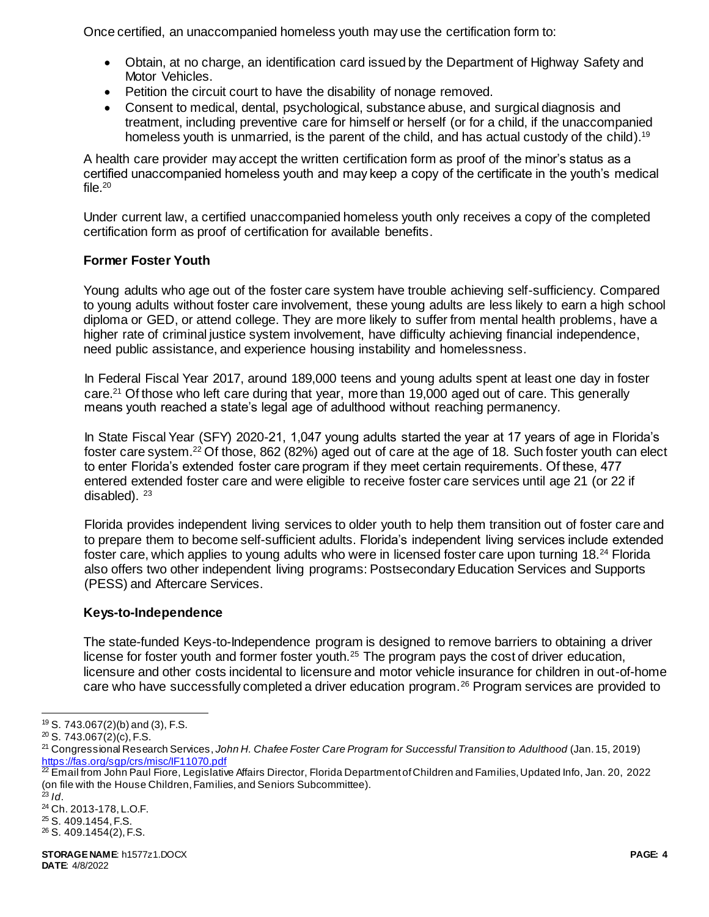Once certified, an unaccompanied homeless youth may use the certification form to:

- Obtain, at no charge, an identification card issued by the Department of Highway Safety and Motor Vehicles.
- Petition the circuit court to have the disability of nonage removed.
- Consent to medical, dental, psychological, substance abuse, and surgical diagnosis and treatment, including preventive care for himself or herself (or for a child, if the unaccompanied homeless youth is unmarried, is the parent of the child, and has actual custody of the child).<sup>19</sup>

A health care provider may accept the written certification form as proof of the minor's status as a certified unaccompanied homeless youth and may keep a copy of the certificate in the youth's medical file. $20$ 

Under current law, a certified unaccompanied homeless youth only receives a copy of the completed certification form as proof of certification for available benefits.

# **Former Foster Youth**

Young adults who age out of the foster care system have trouble achieving self-sufficiency. Compared to young adults without foster care involvement, these young adults are less likely to earn a high school diploma or GED, or attend college. They are more likely to suffer from mental health problems, have a higher rate of criminal justice system involvement, have difficulty achieving financial independence, need public assistance, and experience housing instability and homelessness.

In Federal Fiscal Year 2017, around 189,000 teens and young adults spent at least one day in foster care.<sup>21</sup> Of those who left care during that year, more than 19,000 aged out of care. This generally means youth reached a state's legal age of adulthood without reaching permanency.

In State Fiscal Year (SFY) 2020-21, 1,047 young adults started the year at 17 years of age in Florida's foster care system.<sup>22</sup> Of those, 862 (82%) aged out of care at the age of 18. Such foster youth can elect to enter Florida's extended foster care program if they meet certain requirements. Of these, 477 entered extended foster care and were eligible to receive foster care services until age 21 (or 22 if disabled).  $23$ 

Florida provides independent living services to older youth to help them transition out of foster care and to prepare them to become self-sufficient adults. Florida's independent living services include extended foster care, which applies to young adults who were in licensed foster care upon turning 18.<sup>24</sup> Florida also offers two other independent living programs: Postsecondary Education Services and Supports (PESS) and Aftercare Services.

## **Keys-to-Independence**

The state-funded Keys-to-Independence program is designed to remove barriers to obtaining a driver license for foster youth and former foster youth.<sup>25</sup> The program pays the cost of driver education, licensure and other costs incidental to licensure and motor vehicle insurance for children in out-of-home care who have successfully completed a driver education program.<sup>26</sup> Program services are provided to

l <sup>19</sup> S. 743.067(2)(b) and (3), F.S.

 $20$  S. 743.067(2)(c), F.S.

<sup>21</sup> Congressional Research Services, *John H. Chafee Foster Care Program for Successful Transition to Adulthood* (Jan. 15, 2019) <https://fas.org/sgp/crs/misc/IF11070.pdf>

<sup>&</sup>lt;sup>22</sup> Email from John Paul Fiore, Legislative Affairs Director, Florida Department of Children and Families, Updated Info, Jan. 20, 2022 (on file with the House Children, Families, and Seniors Subcommittee).

 $^{23}$  *Id.* 

<sup>24</sup> Ch. 2013-178, L.O.F.

<sup>25</sup> S. 409.1454, F.S.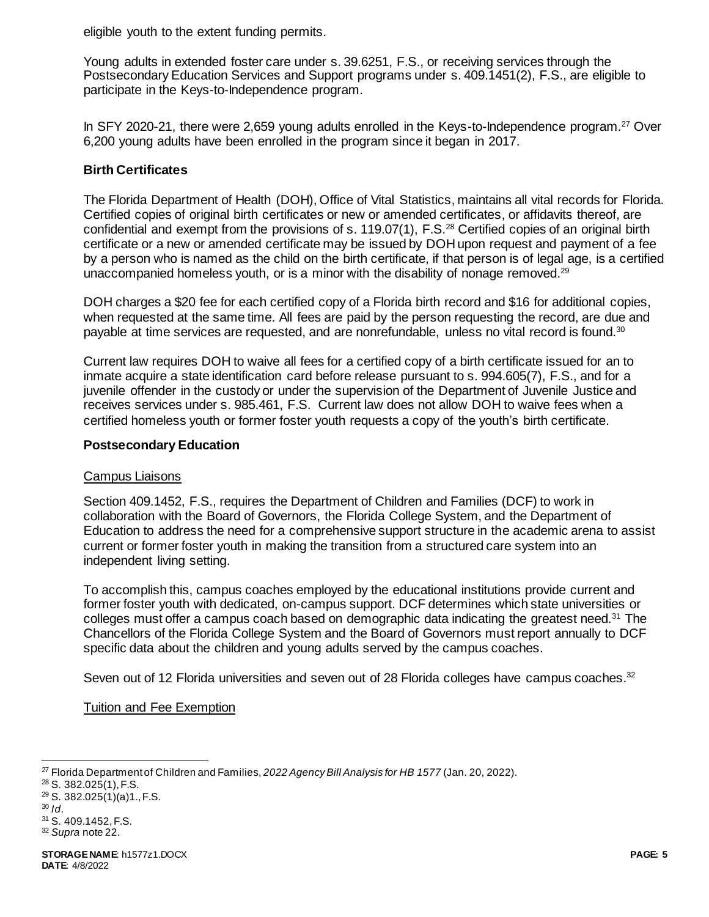eligible youth to the extent funding permits.

Young adults in extended foster care under s. 39.6251, F.S., or receiving services through the Postsecondary Education Services and Support programs under s. 409.1451(2), F.S., are eligible to participate in the Keys-to-Independence program.

In SFY 2020-21, there were 2,659 young adults enrolled in the Keys-to-Independence program.<sup>27</sup> Over 6,200 young adults have been enrolled in the program since it began in 2017.

# **Birth Certificates**

The Florida Department of Health (DOH), Office of Vital Statistics, maintains all vital records for Florida. Certified copies of original birth certificates or new or amended certificates, or affidavits thereof, are confidential and exempt from the provisions of s. 119.07(1), F.S.<sup>28</sup> Certified copies of an original birth certificate or a new or amended certificate may be issued by DOH upon request and payment of a fee by a person who is named as the child on the birth certificate, if that person is of legal age, is a certified unaccompanied homeless youth, or is a minor with the disability of nonage removed.<sup>29</sup>

DOH charges a \$20 fee for each certified copy of a Florida birth record and \$16 for additional copies, when requested at the same time. All fees are paid by the person requesting the record, are due and payable at time services are requested, and are nonrefundable, unless no vital record is found.<sup>30</sup>

Current law requires DOH to waive all fees for a certified copy of a birth certificate issued for an to inmate acquire a state identification card before release pursuant to s. 994.605(7), F.S., and for a juvenile offender in the custody or under the supervision of the Department of Juvenile Justice and receives services under s. 985.461, F.S. Current law does not allow DOH to waive fees when a certified homeless youth or former foster youth requests a copy of the youth's birth certificate.

## **Postsecondary Education**

## Campus Liaisons

Section 409.1452, F.S., requires the Department of Children and Families (DCF) to work in collaboration with the Board of Governors, the Florida College System, and the Department of Education to address the need for a comprehensive support structure in the academic arena to assist current or former foster youth in making the transition from a structured care system into an independent living setting.

To accomplish this, campus coaches employed by the educational institutions provide current and former foster youth with dedicated, on-campus support. DCF determines which state universities or colleges must offer a campus coach based on demographic data indicating the greatest need.<sup>31</sup> The Chancellors of the Florida College System and the Board of Governors must report annually to DCF specific data about the children and young adults served by the campus coaches.

Seven out of 12 Florida universities and seven out of 28 Florida colleges have campus coaches.<sup>32</sup>

Tuition and Fee Exemption

l <sup>27</sup> Florida Department of Children and Families, *2022 Agency Bill Analysis for HB 1577* (Jan. 20, 2022).

<sup>28</sup> S. 382.025(1), F.S.

<sup>29</sup> S. 382.025(1)(a)1., F.S.

<sup>30</sup> *Id*.

<sup>31</sup> S. 409.1452, F.S.

<sup>32</sup> *Supra* note 22.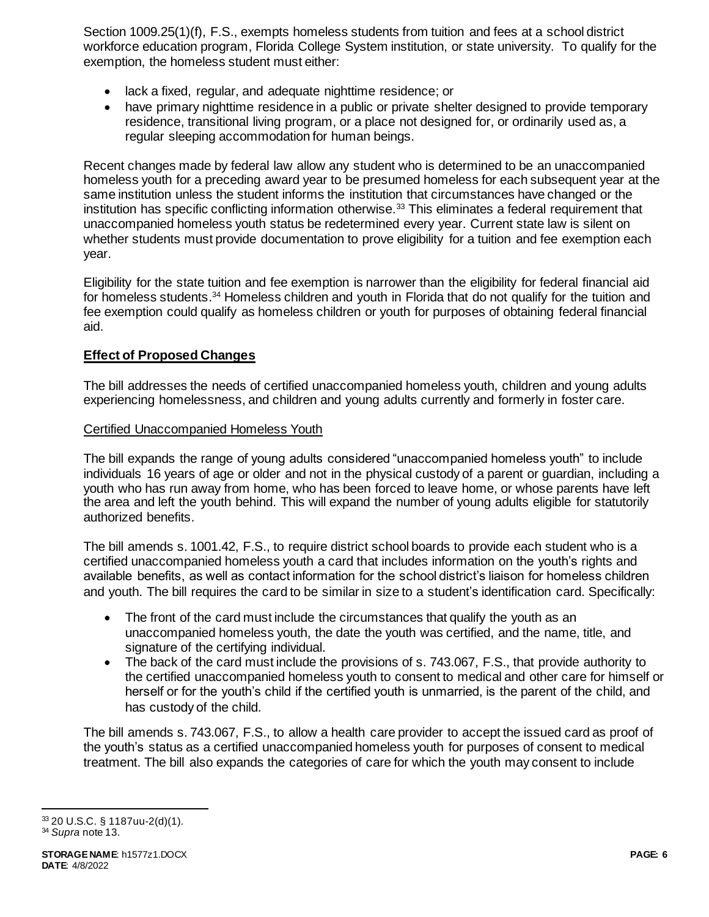Section 1009.25(1)(f), F.S., exempts homeless students from tuition and fees at a school district workforce education program, Florida College System institution, or state university. To qualify for the exemption, the homeless student must either:

- lack a fixed, regular, and adequate nighttime residence; or
- have primary nighttime residence in a public or private shelter designed to provide temporary residence, transitional living program, or a place not designed for, or ordinarily used as, a regular sleeping accommodation for human beings.

Recent changes made by federal law allow any student who is determined to be an unaccompanied homeless youth for a preceding award year to be presumed homeless for each subsequent year at the same institution unless the student informs the institution that circumstances have changed or the institution has specific conflicting information otherwise.<sup>33</sup> This eliminates a federal requirement that unaccompanied homeless youth status be redetermined every year. Current state law is silent on whether students must provide documentation to prove eligibility for a tuition and fee exemption each year.

Eligibility for the state tuition and fee exemption is narrower than the eligibility for federal financial aid for homeless students.<sup>34</sup> Homeless children and youth in Florida that do not qualify for the tuition and fee exemption could qualify as homeless children or youth for purposes of obtaining federal financial aid.

## **Effect of Proposed Changes**

The bill addresses the needs of certified unaccompanied homeless youth, children and young adults experiencing homelessness, and children and young adults currently and formerly in foster care.

## Certified Unaccompanied Homeless Youth

The bill expands the range of young adults considered "unaccompanied homeless youth" to include individuals 16 years of age or older and not in the physical custody of a parent or guardian, including a youth who has run away from home, who has been forced to leave home, or whose parents have left the area and left the youth behind. This will expand the number of young adults eligible for statutorily authorized benefits.

The bill amends s. 1001.42, F.S., to require district school boards to provide each student who is a certified unaccompanied homeless youth a card that includes information on the youth's rights and available benefits, as well as contact information for the school district's liaison for homeless children and youth. The bill requires the card to be similar in size to a student's identification card. Specifically:

- The front of the card must include the circumstances that qualify the youth as an unaccompanied homeless youth, the date the youth was certified, and the name, title, and signature of the certifying individual.
- The back of the card must include the provisions of s. 743.067, F.S., that provide authority to the certified unaccompanied homeless youth to consent to medical and other care for himself or herself or for the youth's child if the certified youth is unmarried, is the parent of the child, and has custody of the child.

The bill amends s. 743.067, F.S., to allow a health care provider to accept the issued card as proof of the youth's status as a certified unaccompanied homeless youth for purposes of consent to medical treatment. The bill also expands the categories of care for which the youth may consent to include

l <sup>33</sup> 20 U.S.C. § 1187uu-2(d)(1). <sup>34</sup> *Supra* note 13.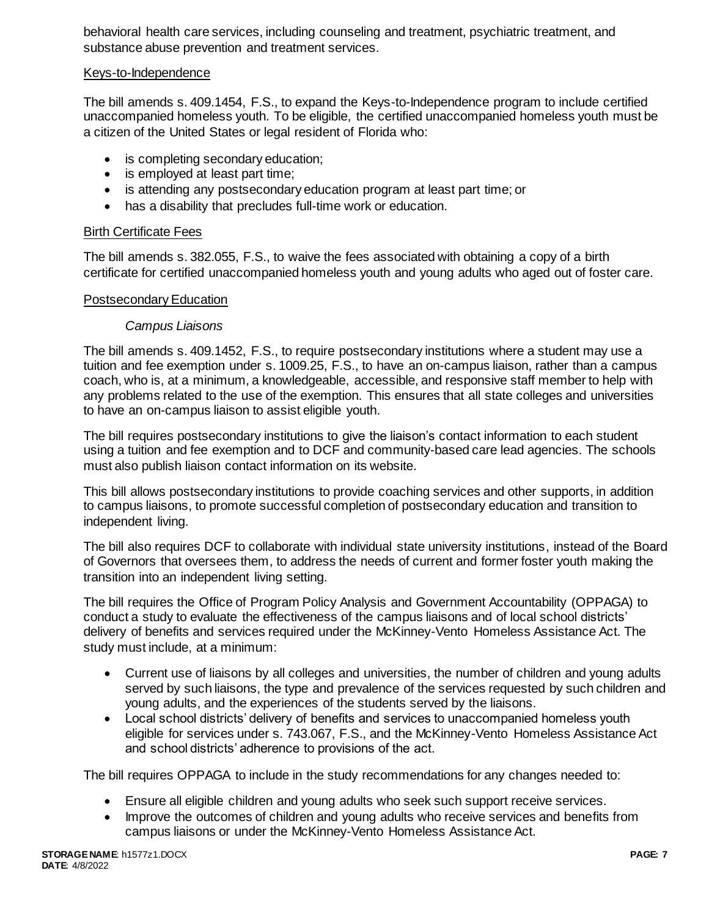behavioral health care services, including counseling and treatment, psychiatric treatment, and substance abuse prevention and treatment services.

## Keys-to-Independence

The bill amends s. 409.1454, F.S., to expand the Keys-to-Independence program to include certified unaccompanied homeless youth. To be eligible, the certified unaccompanied homeless youth must be a citizen of the United States or legal resident of Florida who:

- is completing secondary education;
- is employed at least part time;
- is attending any postsecondary education program at least part time; or
- has a disability that precludes full-time work or education.

#### Birth Certificate Fees

The bill amends s. 382.055, F.S., to waive the fees associated with obtaining a copy of a birth certificate for certified unaccompanied homeless youth and young adults who aged out of foster care.

#### Postsecondary Education

#### *Campus Liaisons*

The bill amends s. 409.1452, F.S., to require postsecondary institutions where a student may use a tuition and fee exemption under s. 1009.25, F.S., to have an on-campus liaison, rather than a campus coach, who is, at a minimum, a knowledgeable, accessible, and responsive staff member to help with any problems related to the use of the exemption. This ensures that all state colleges and universities to have an on-campus liaison to assist eligible youth.

The bill requires postsecondary institutions to give the liaison's contact information to each student using a tuition and fee exemption and to DCF and community-based care lead agencies. The schools must also publish liaison contact information on its website.

This bill allows postsecondary institutions to provide coaching services and other supports, in addition to campus liaisons, to promote successful completion of postsecondary education and transition to independent living.

The bill also requires DCF to collaborate with individual state university institutions, instead of the Board of Governors that oversees them, to address the needs of current and former foster youth making the transition into an independent living setting.

The bill requires the Office of Program Policy Analysis and Government Accountability (OPPAGA) to conduct a study to evaluate the effectiveness of the campus liaisons and of local school districts' delivery of benefits and services required under the McKinney-Vento Homeless Assistance Act. The study must include, at a minimum:

- Current use of liaisons by all colleges and universities, the number of children and young adults served by such liaisons, the type and prevalence of the services requested by such children and young adults, and the experiences of the students served by the liaisons.
- Local school districts' delivery of benefits and services to unaccompanied homeless youth eligible for services under s. 743.067, F.S., and the McKinney-Vento Homeless Assistance Act and school districts' adherence to provisions of the act.

The bill requires OPPAGA to include in the study recommendations for any changes needed to:

- Ensure all eligible children and young adults who seek such support receive services.
- Improve the outcomes of children and young adults who receive services and benefits from campus liaisons or under the McKinney-Vento Homeless Assistance Act.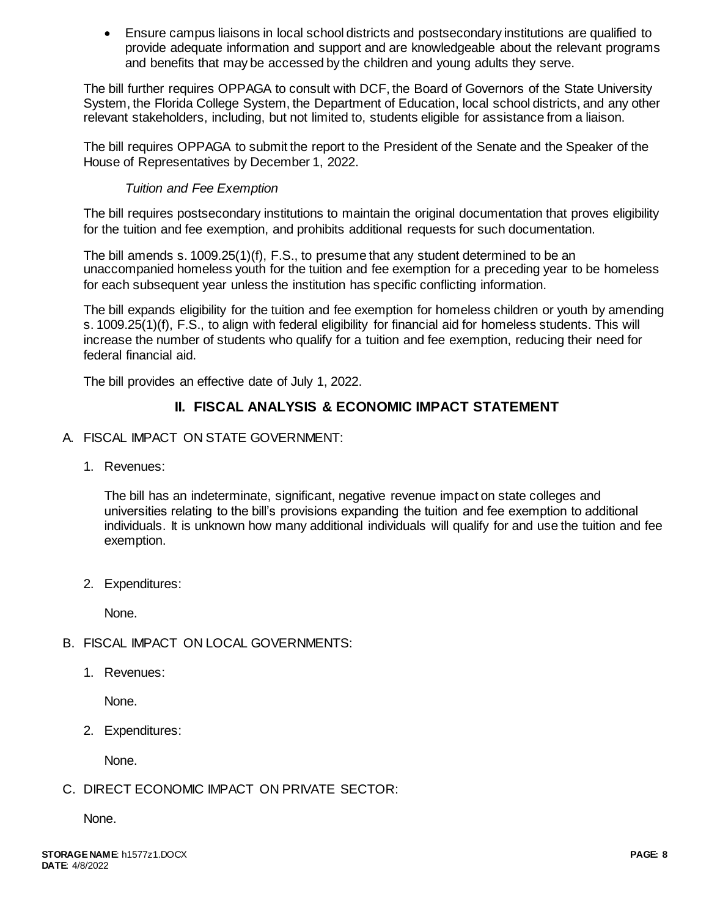Ensure campus liaisons in local school districts and postsecondary institutions are qualified to provide adequate information and support and are knowledgeable about the relevant programs and benefits that may be accessed by the children and young adults they serve.

The bill further requires OPPAGA to consult with DCF, the Board of Governors of the State University System, the Florida College System, the Department of Education, local school districts, and any other relevant stakeholders, including, but not limited to, students eligible for assistance from a liaison.

The bill requires OPPAGA to submit the report to the President of the Senate and the Speaker of the House of Representatives by December 1, 2022.

# *Tuition and Fee Exemption*

The bill requires postsecondary institutions to maintain the original documentation that proves eligibility for the tuition and fee exemption, and prohibits additional requests for such documentation.

The bill amends s. 1009.25(1)(f), F.S., to presume that any student determined to be an unaccompanied homeless youth for the tuition and fee exemption for a preceding year to be homeless for each subsequent year unless the institution has specific conflicting information.

The bill expands eligibility for the tuition and fee exemption for homeless children or youth by amending s. 1009.25(1)(f), F.S., to align with federal eligibility for financial aid for homeless students. This will increase the number of students who qualify for a tuition and fee exemption, reducing their need for federal financial aid.

The bill provides an effective date of July 1, 2022.

# **II. FISCAL ANALYSIS & ECONOMIC IMPACT STATEMENT**

- A. FISCAL IMPACT ON STATE GOVERNMENT:
	- 1. Revenues:

The bill has an indeterminate, significant, negative revenue impact on state colleges and universities relating to the bill's provisions expanding the tuition and fee exemption to additional individuals. It is unknown how many additional individuals will qualify for and use the tuition and fee exemption.

2. Expenditures:

None.

- B. FISCAL IMPACT ON LOCAL GOVERNMENTS:
	- 1. Revenues:

None.

2. Expenditures:

None.

C. DIRECT ECONOMIC IMPACT ON PRIVATE SECTOR:

None.